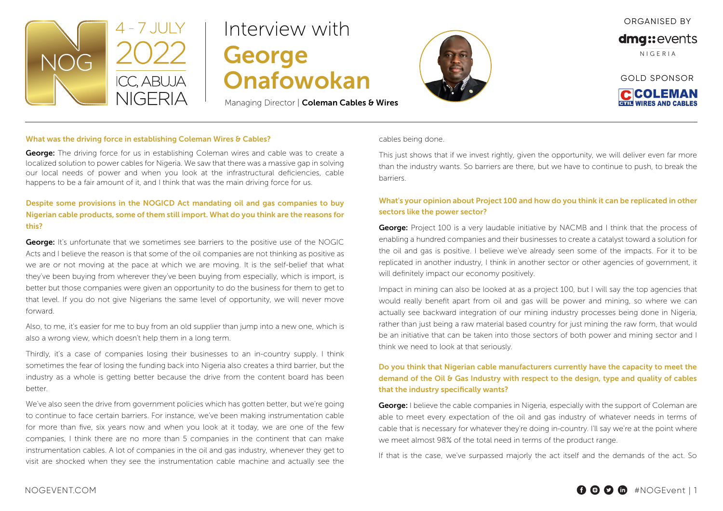

# Interview with George Onafowokan

Managing Director | Coleman Cables & Wires



ORGANISED BY

dmg::events

N I G E R I A

GOLD SPONSOR **CCOLEMAN** 

**BULL WIRES AND CARLE** 

#### What was the driving force in establishing Coleman Wires & Cables?

**George:** The driving force for us in establishing Coleman wires and cable was to create a localized solution to power cables for Nigeria. We saw that there was a massive gap in solving our local needs of power and when you look at the infrastructural deficiencies, cable happens to be a fair amount of it, and I think that was the main driving force for us.

# Despite some provisions in the NOGICD Act mandating oil and gas companies to buy Nigerian cable products, some of them still import. What do you think are the reasons for this?

**George:** It's unfortunate that we sometimes see barriers to the positive use of the NOGIC Acts and I believe the reason is that some of the oil companies are not thinking as positive as we are or not moving at the pace at which we are moving. It is the self-belief that what they've been buying from wherever they've been buying from especially, which is import, is better but those companies were given an opportunity to do the business for them to get to that level. If you do not give Nigerians the same level of opportunity, we will never move forward.

Also, to me, it's easier for me to buy from an old supplier than jump into a new one, which is also a wrong view, which doesn't help them in a long term.

Thirdly, it's a case of companies losing their businesses to an in-country supply. I think sometimes the fear of losing the funding back into Nigeria also creates a third barrier, but the industry as a whole is getting better because the drive from the content board has been better.

We've also seen the drive from government policies which has gotten better, but we're going to continue to face certain barriers. For instance, we've been making instrumentation cable for more than five, six years now and when you look at it today, we are one of the few companies, I think there are no more than 5 companies in the continent that can make instrumentation cables. A lot of companies in the oil and gas industry, whenever they get to visit are shocked when they see the instrumentation cable machine and actually see the

cables being done.

This just shows that if we invest rightly, given the opportunity, we will deliver even far more than the industry wants. So barriers are there, but we have to continue to push, to break the barriers.

### What's your opinion about Project 100 and how do you think it can be replicated in other sectors like the power sector?

**George:** Project 100 is a very laudable initiative by NACMB and I think that the process of enabling a hundred companies and their businesses to create a catalyst toward a solution for the oil and gas is positive. I believe we've already seen some of the impacts. For it to be replicated in another industry, I think in another sector or other agencies of government, it will definitely impact our economy positively.

Impact in mining can also be looked at as a project 100, but I will say the top agencies that would really benefit apart from oil and gas will be power and mining, so where we can actually see backward integration of our mining industry processes being done in Nigeria, rather than just being a raw material based country for just mining the raw form, that would be an initiative that can be taken into those sectors of both power and mining sector and I think we need to look at that seriously.

## Do you think that Nigerian cable manufacturers currently have the capacity to meet the demand of the Oil & Gas Industry with respect to the design, type and quality of cables that the industry specifically wants?

**George:** I believe the cable companies in Nigeria, especially with the support of Coleman are able to meet every expectation of the oil and gas industry of whatever needs in terms of cable that is necessary for whatever they're doing in-country. I'll say we're at the point where we meet almost 98% of the total need in terms of the product range.

If that is the case, we've surpassed majorly the act itself and the demands of the act. So